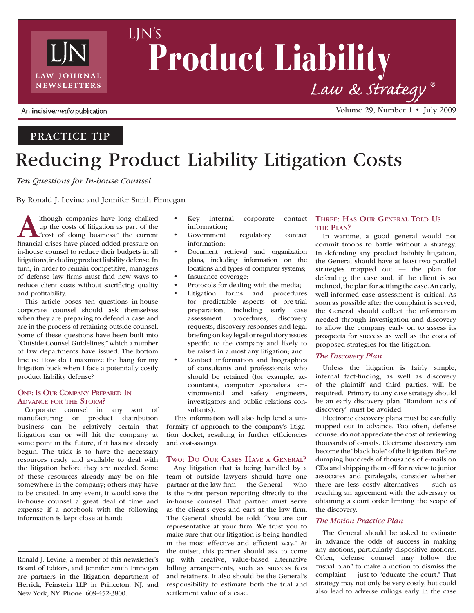

# Product Liability *Law & Strategy* **®** LJN's

# Practice Tip

# Reducing Product Liability Litigation Costs

*Ten Questions for In-house Counsel*

By Ronald J. Levine and Jennifer Smith Finnegan

Ithough companies have long chalked<br>up the costs of litigation as part of the<br>"cost of doing business," the current<br>financial crises have placed added pressure on up the costs of litigation as part of the "cost of doing business," the current financial crises have placed added pressure on in-house counsel to reduce their budgets in all litigations, including product liability defense. In turn, in order to remain competitive, managers of defense law firms must find new ways to reduce client costs without sacrificing quality and profitability.

This article poses ten questions in-house corporate counsel should ask themselves when they are preparing to defend a case and are in the process of retaining outside counsel. Some of these questions have been built into "Outside Counsel Guidelines," which a number of law departments have issued. The bottom line is: How do I maximize the bang for my litigation buck when I face a potentially costly product liability defense?

### One: Is Our Company Prepared In Advance for the Storm?

Corporate counsel in any sort of manufacturing or product distribution business can be relatively certain that litigation can or will hit the company at some point in the future, if it has not already begun. The trick is to have the necessary resources ready and available to deal with the litigation before they are needed. Some of these resources already may be on file somewhere in the company; others may have to be created. In any event, it would save the in-house counsel a great deal of time and expense if a notebook with the following information is kept close at hand:

Ronald J. Levine, a member of this newsletter's Board of Editors, and Jennifer Smith Finnegan are partners in the litigation department of Herrick, Feinstein LLP in Princeton, NJ, and New York, NY. Phone: 609-452-3800.

- Key internal corporate contact information;
- Government regulatory contact information;
- Document retrieval and organization plans, including information on the locations and types of computer systems;
- Insurance coverage;
- Protocols for dealing with the media;
- Litigation forms and procedures for predictable aspects of pre-trial preparation, including early case assessment procedures, discovery requests, discovery responses and legal briefing on key legal or regulatory issues specific to the company and likely to be raised in almost any litigation; and
- Contact information and biographies of consultants and professionals who should be retained (for example, accountants, computer specialists, environmental and safety engineers, investigators and public relations consultants).

This information will also help lend a uniformity of approach to the company's litigation docket, resulting in further efficiencies and cost-savings.

### Two: Do Our Cases Have a General?

Any litigation that is being handled by a team of outside lawyers should have one partner at the law firm — the General — who is the point person reporting directly to the in-house counsel. That partner must serve as the client's eyes and ears at the law firm. The General should be told: "You are our representative at your firm. We trust you to make sure that our litigation is being handled in the most effective and efficient way." At the outset, this partner should ask to come up with creative, value-based alternative billing arrangements, such as success fees and retainers. It also should be the General's responsibility to estimate both the trial and settlement value of a case.

## Three: Has Our General Told Us THE PLAN?

Volume 29, Number 1 • July 2009

In wartime, a good general would not commit troops to battle without a strategy. In defending any product liability litigation, the General should have at least two parallel strategies mapped out — the plan for defending the case and, if the client is so inclined, the plan for settling the case. An early, well-informed case assessment is critical. As soon as possible after the complaint is served, the General should collect the information needed through investigation and discovery to allow the company early on to assess its prospects for success as well as the costs of proposed strategies for the litigation.

### *The Discovery Plan*

Unless the litigation is fairly simple, internal fact-finding, as well as discovery of the plaintiff and third parties, will be required. Primary to any case strategy should be an early discovery plan. "Random acts of discovery" must be avoided.

Electronic discovery plans must be carefully mapped out in advance. Too often, defense counsel do not appreciate the cost of reviewing thousands of e-mails. Electronic discovery can become the "black hole" of the litigation. Before dumping hundreds of thousands of e-mails on CDs and shipping them off for review to junior associates and paralegals, consider whether there are less costly alternatives — such as reaching an agreement with the adversary or obtaining a court order limiting the scope of the discovery.

### *The Motion Practice Plan*

The General should be asked to estimate in advance the odds of success in making any motions, particularly dispositive motions. Often, defense counsel may follow the "usual plan" to make a motion to dismiss the complaint — just to "educate the court." That strategy may not only be very costly, but could also lead to adverse rulings early in the case